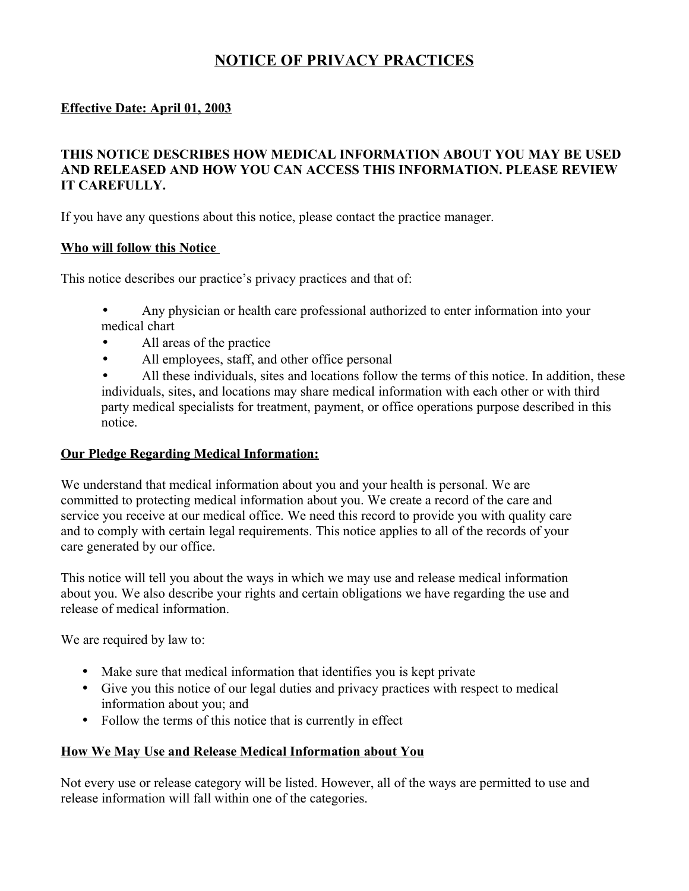# **NOTICE OF PRIVACY PRACTICES**

### **Effective Date: April 01, 2003**

### **THIS NOTICE DESCRIBES HOW MEDICAL INFORMATION ABOUT YOU MAY BE USED AND RELEASED AND HOW YOU CAN ACCESS THIS INFORMATION. PLEASE REVIEW IT CAREFULLY.**

If you have any questions about this notice, please contact the practice manager.

#### **Who will follow this Notice**

This notice describes our practice's privacy practices and that of:

- Any physician or health care professional authorized to enter information into your medical chart
- All areas of the practice
- All employees, staff, and other office personal
- All these individuals, sites and locations follow the terms of this notice. In addition, these individuals, sites, and locations may share medical information with each other or with third party medical specialists for treatment, payment, or office operations purpose described in this notice.

#### **Our Pledge Regarding Medical Information:**

We understand that medical information about you and your health is personal. We are committed to protecting medical information about you. We create a record of the care and service you receive at our medical office. We need this record to provide you with quality care and to comply with certain legal requirements. This notice applies to all of the records of your care generated by our office.

This notice will tell you about the ways in which we may use and release medical information about you. We also describe your rights and certain obligations we have regarding the use and release of medical information.

We are required by law to:

- Make sure that medical information that identifies you is kept private
- Give you this notice of our legal duties and privacy practices with respect to medical information about you; and
- Follow the terms of this notice that is currently in effect

#### **How We May Use and Release Medical Information about You**

Not every use or release category will be listed. However, all of the ways are permitted to use and release information will fall within one of the categories.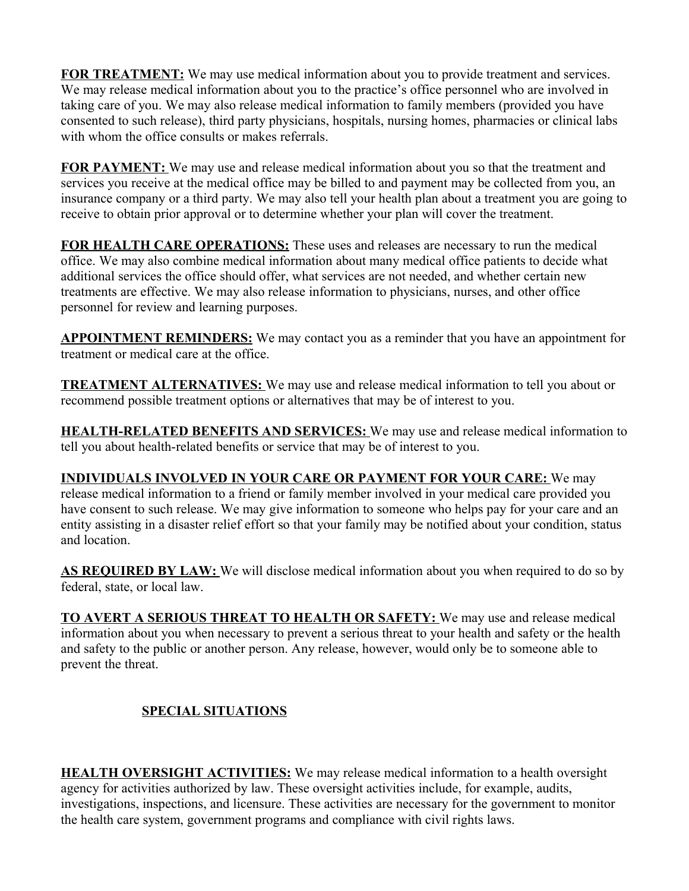**FOR TREATMENT:** We may use medical information about you to provide treatment and services. We may release medical information about you to the practice's office personnel who are involved in taking care of you. We may also release medical information to family members (provided you have consented to such release), third party physicians, hospitals, nursing homes, pharmacies or clinical labs with whom the office consults or makes referrals.

**FOR PAYMENT:** We may use and release medical information about you so that the treatment and services you receive at the medical office may be billed to and payment may be collected from you, an insurance company or a third party. We may also tell your health plan about a treatment you are going to receive to obtain prior approval or to determine whether your plan will cover the treatment.

**FOR HEALTH CARE OPERATIONS:** These uses and releases are necessary to run the medical office. We may also combine medical information about many medical office patients to decide what additional services the office should offer, what services are not needed, and whether certain new treatments are effective. We may also release information to physicians, nurses, and other office personnel for review and learning purposes.

**APPOINTMENT REMINDERS:** We may contact you as a reminder that you have an appointment for treatment or medical care at the office.

**TREATMENT ALTERNATIVES:** We may use and release medical information to tell you about or recommend possible treatment options or alternatives that may be of interest to you.

**HEALTH-RELATED BENEFITS AND SERVICES:** We may use and release medical information to tell you about health-related benefits or service that may be of interest to you.

**INDIVIDUALS INVOLVED IN YOUR CARE OR PAYMENT FOR YOUR CARE:** We may release medical information to a friend or family member involved in your medical care provided you have consent to such release. We may give information to someone who helps pay for your care and an entity assisting in a disaster relief effort so that your family may be notified about your condition, status and location.

**AS REQUIRED BY LAW:** We will disclose medical information about you when required to do so by federal, state, or local law.

**TO AVERT A SERIOUS THREAT TO HEALTH OR SAFETY:** We may use and release medical information about you when necessary to prevent a serious threat to your health and safety or the health and safety to the public or another person. Any release, however, would only be to someone able to prevent the threat.

## **SPECIAL SITUATIONS**

**HEALTH OVERSIGHT ACTIVITIES:** We may release medical information to a health oversight agency for activities authorized by law. These oversight activities include, for example, audits, investigations, inspections, and licensure. These activities are necessary for the government to monitor the health care system, government programs and compliance with civil rights laws.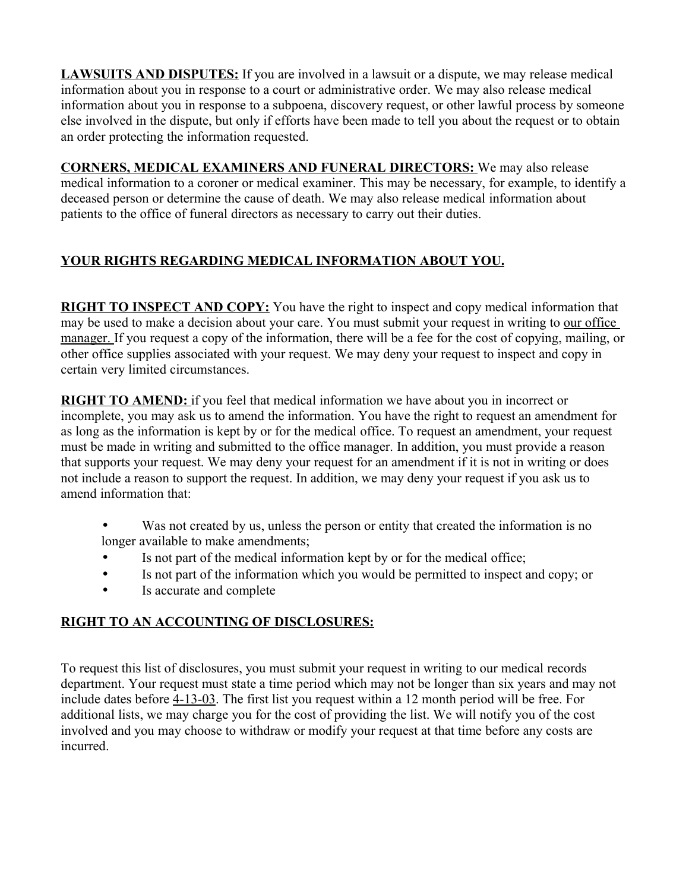**LAWSUITS AND DISPUTES:** If you are involved in a lawsuit or a dispute, we may release medical information about you in response to a court or administrative order. We may also release medical information about you in response to a subpoena, discovery request, or other lawful process by someone else involved in the dispute, but only if efforts have been made to tell you about the request or to obtain an order protecting the information requested.

**CORNERS, MEDICAL EXAMINERS AND FUNERAL DIRECTORS:** We may also release medical information to a coroner or medical examiner. This may be necessary, for example, to identify a deceased person or determine the cause of death. We may also release medical information about patients to the office of funeral directors as necessary to carry out their duties.

## **YOUR RIGHTS REGARDING MEDICAL INFORMATION ABOUT YOU.**

**RIGHT TO INSPECT AND COPY:** You have the right to inspect and copy medical information that may be used to make a decision about your care. You must submit your request in writing to our office manager. If you request a copy of the information, there will be a fee for the cost of copying, mailing, or other office supplies associated with your request. We may deny your request to inspect and copy in certain very limited circumstances.

**RIGHT TO AMEND:** if you feel that medical information we have about you in incorrect or incomplete, you may ask us to amend the information. You have the right to request an amendment for as long as the information is kept by or for the medical office. To request an amendment, your request must be made in writing and submitted to the office manager. In addition, you must provide a reason that supports your request. We may deny your request for an amendment if it is not in writing or does not include a reason to support the request. In addition, we may deny your request if you ask us to amend information that:

- Was not created by us, unless the person or entity that created the information is no longer available to make amendments;
- Is not part of the medical information kept by or for the medical office;
- Is not part of the information which you would be permitted to inspect and copy; or
- Is accurate and complete

## **RIGHT TO AN ACCOUNTING OF DISCLOSURES:**

To request this list of disclosures, you must submit your request in writing to our medical records department. Your request must state a time period which may not be longer than six years and may not include dates before 4-13-03. The first list you request within a 12 month period will be free. For additional lists, we may charge you for the cost of providing the list. We will notify you of the cost involved and you may choose to withdraw or modify your request at that time before any costs are incurred.